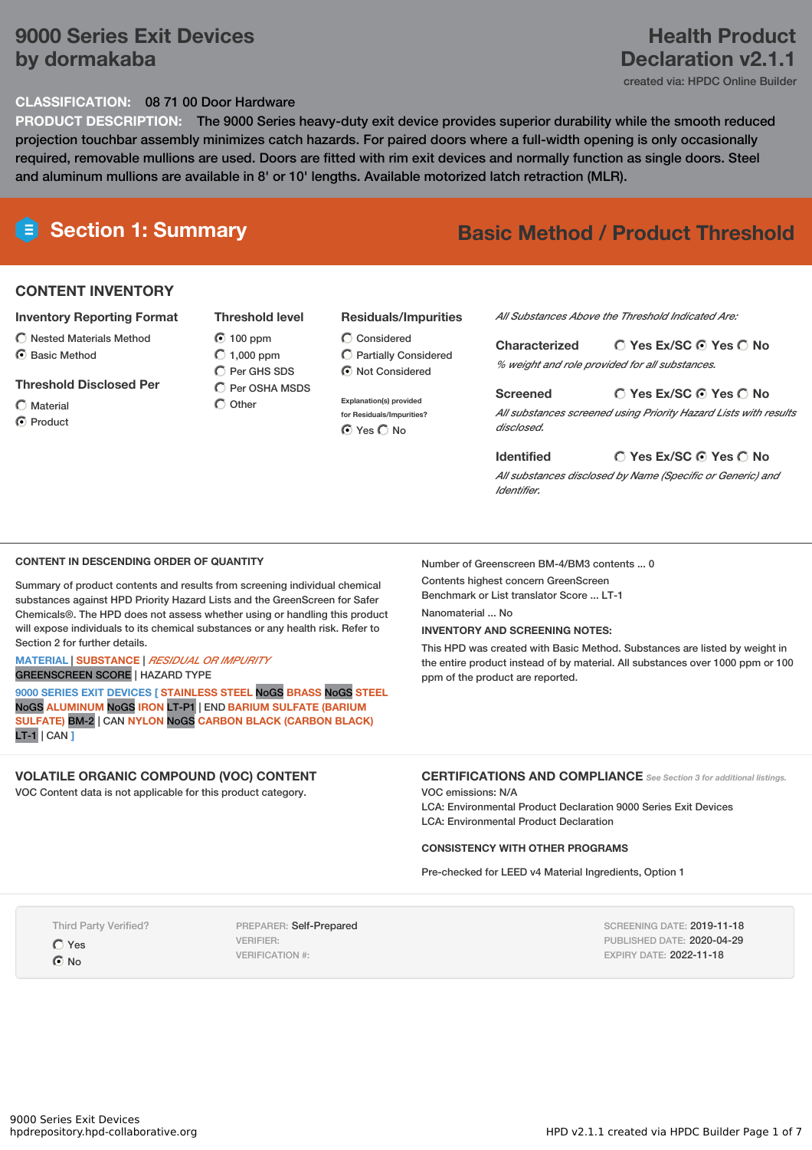# **9000 Series Exit Devices by dormakaba**

# **Health Product Declaration v2.1.1**

created via: HPDC Online Builder

## **CLASSIFICATION:** 08 71 00 Door Hardware

**PRODUCT DESCRIPTION:** The 9000 Series heavy-duty exit device provides superior durability while the smooth reduced projection touchbar assembly minimizes catch hazards. For paired doors where a full-width opening is only occasionally required, removable mullions are used. Doors are fitted with rim exit devices and normally function as single doors. Steel and aluminum mullions are available in 8' or 10' lengths. Available motorized latch retraction (MLR).

# **Section 1: Summary Basic Method / Product Threshold**

## **CONTENT INVENTORY**

#### **Inventory Reporting Format**

- $\bigcirc$  Nested Materials Method
- C Basic Method

#### **Threshold Disclosed Per**

 $\bigcap$  Material

C Product

### 100 ppm  $O$  1,000 ppm  $O$  Per GHS SDS

**Threshold level**

 $\bigcap$  Per OSHA MSDS  $\bigcap$  Other

### **Residuals/Impurities**

- $\bigcirc$  Considered Partially Considered  $\odot$  Not Considered
- **Explanation(s) provided for Residuals/Impurities?** ⊙ Yes O No

#### *All Substances Above the Threshold Indicated Are:*

**Yes Ex/SC Yes No Characterized** *% weight and role provided for all substances.*

#### **Yes Ex/SC Yes No Screened** *All substances screened using Priority Hazard Lists with results*

*disclosed.*

# **Yes Ex/SC Yes No**

*All substances disclosed by Name (Specific or Generic) and Identifier.*

### **CONTENT IN DESCENDING ORDER OF QUANTITY**

Summary of product contents and results from screening individual chemical substances against HPD Priority Hazard Lists and the GreenScreen for Safer Chemicals®. The HPD does not assess whether using or handling this product will expose individuals to its chemical substances or any health risk. Refer to Section 2 for further details.

#### **MATERIAL** | **SUBSTANCE** | *RESIDUAL OR IMPURITY* GREENSCREEN SCORE | HAZARD TYPE

**9000 SERIES EXIT DEVICES [ STAINLESS STEEL** NoGS **BRASS** NoGS **STEEL** NoGS **ALUMINUM** NoGS **IRON** LT-P1 | END **BARIUM SULFATE (BARIUM SULFATE)** BM-2 | CAN **NYLON** NoGS **CARBON BLACK (CARBON BLACK)** LT-1 | CAN **]**

## **VOLATILE ORGANIC COMPOUND (VOC) CONTENT**

VOC Content data is not applicable for this product category.

#### Number of Greenscreen BM-4/BM3 contents ... 0 Contents highest concern GreenScreen

Benchmark or List translator Score ... LT-1

**Identified**

Nanomaterial ... No

VOC emissions: N/A

### **INVENTORY AND SCREENING NOTES:**

This HPD was created with Basic Method. Substances are listed by weight in the entire product instead of by material. All substances over 1000 ppm or 100 ppm of the product are reported.

**CERTIFICATIONS AND COMPLIANCE** *See Section <sup>3</sup> for additional listings.*

LCA: Environmental Product Declaration 9000 Series Exit Devices

### **CONSISTENCY WITH OTHER PROGRAMS**

LCA: Environmental Product Declaration

Pre-checked for LEED v4 Material Ingredients, Option 1

Third Party Verified?

Yes **O** No

PREPARER: Self-Prepared VERIFIER: VERIFICATION #:

SCREENING DATE: 2019-11-18 PUBLISHED DATE: 2020-04-29 EXPIRY DATE: 2022-11-18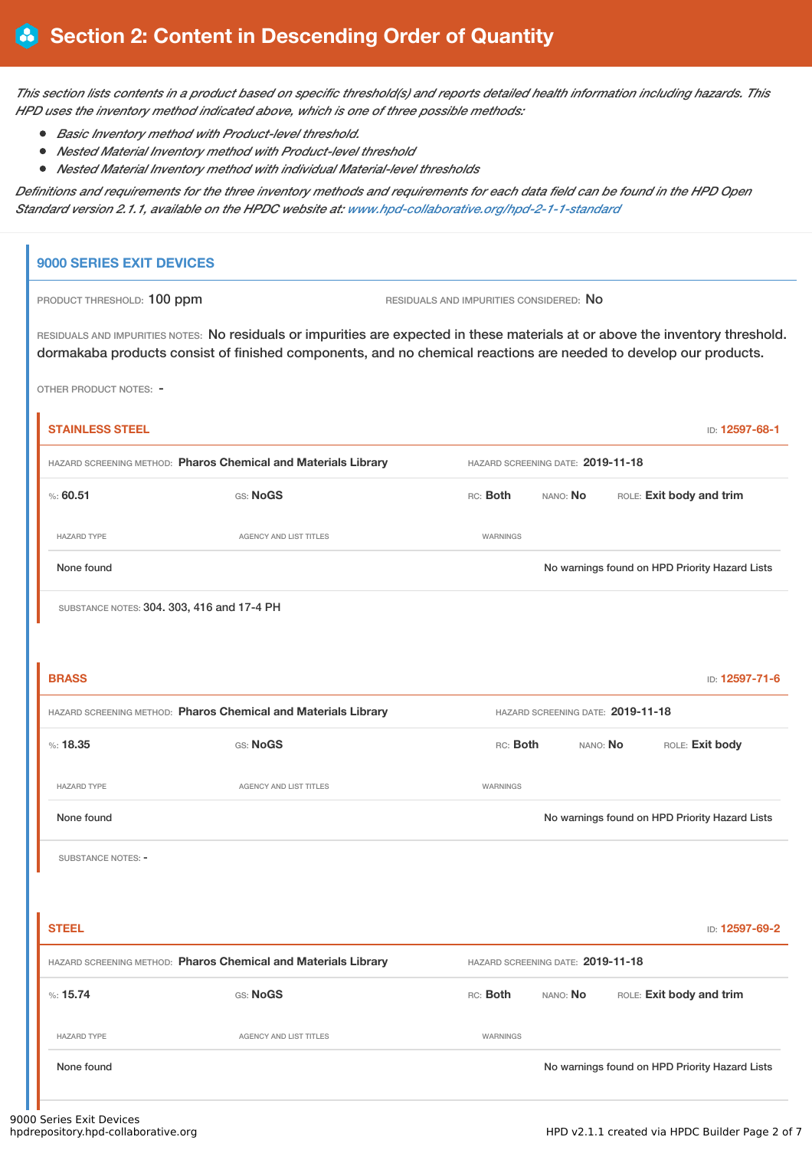This section lists contents in a product based on specific threshold(s) and reports detailed health information including hazards. This *HPD uses the inventory method indicated above, which is one of three possible methods:*

- *Basic Inventory method with Product-level threshold.*
- *Nested Material Inventory method with Product-level threshold*
- *Nested Material Inventory method with individual Material-level thresholds*

Definitions and requirements for the three inventory methods and requirements for each data field can be found in the HPD Open *Standard version 2.1.1, available on the HPDC website at: [www.hpd-collaborative.org/hpd-2-1-1-standard](https://www.hpd-collaborative.org/hpd-2-1-1-standard)*

## **9000 SERIES EXIT DEVICES**

| <b>PRODUCT THRESHOLD: 100 ppm</b> |  |  |
|-----------------------------------|--|--|
|-----------------------------------|--|--|

PRODUCT THRESHOLD: **100 ppm**  $RESDUALS AND INPUTIES CONSIDERED: **No**$ 

RESIDUALS AND IMPURITIES NOTES: No residuals or impurities are expected in these materials at or above the inventory threshold. dormakaba products consist of finished components, and no chemical reactions are needed to develop our products.

OTHER PRODUCT NOTES: -

| <b>STAINLESS STEEL</b>                                                                              |                               |                                                  |                                   |  | ID: 12597-68-1                                 |  |
|-----------------------------------------------------------------------------------------------------|-------------------------------|--------------------------------------------------|-----------------------------------|--|------------------------------------------------|--|
| HAZARD SCREENING METHOD: Pharos Chemical and Materials Library                                      |                               |                                                  | HAZARD SCREENING DATE: 2019-11-18 |  |                                                |  |
| %560.51                                                                                             | GS: NoGS                      | ROLE: Exit body and trim<br>RC: Both<br>NANO: No |                                   |  |                                                |  |
| <b>HAZARD TYPE</b>                                                                                  | AGENCY AND LIST TITLES        | WARNINGS                                         |                                   |  |                                                |  |
| None found                                                                                          |                               |                                                  |                                   |  | No warnings found on HPD Priority Hazard Lists |  |
| SUBSTANCE NOTES: 304. 303, 416 and 17-4 PH                                                          |                               |                                                  |                                   |  |                                                |  |
|                                                                                                     |                               |                                                  |                                   |  |                                                |  |
| <b>BRASS</b>                                                                                        |                               |                                                  |                                   |  | ID: 12597-71-6                                 |  |
| HAZARD SCREENING METHOD: Pharos Chemical and Materials Library<br>HAZARD SCREENING DATE: 2019-11-18 |                               |                                                  |                                   |  |                                                |  |
| %: 18.35                                                                                            | GS: NoGS                      | RC: Both<br>NANO: No                             |                                   |  | ROLE: Exit body                                |  |
| <b>HAZARD TYPE</b>                                                                                  | <b>AGENCY AND LIST TITLES</b> | WARNINGS                                         |                                   |  |                                                |  |
| None found                                                                                          |                               |                                                  |                                   |  | No warnings found on HPD Priority Hazard Lists |  |
| SUBSTANCE NOTES: -                                                                                  |                               |                                                  |                                   |  |                                                |  |
|                                                                                                     |                               |                                                  |                                   |  |                                                |  |
| <b>STEEL</b>                                                                                        |                               |                                                  |                                   |  | ID: 12597-69-2                                 |  |
| HAZARD SCREENING METHOD: Pharos Chemical and Materials Library                                      |                               |                                                  | HAZARD SCREENING DATE: 2019-11-18 |  |                                                |  |
| %: 15.74                                                                                            | GS: NoGS                      | RC: Both                                         | NANO: No                          |  | ROLE: Exit body and trim                       |  |
| <b>HAZARD TYPE</b>                                                                                  | AGENCY AND LIST TITLES        | WARNINGS                                         |                                   |  |                                                |  |
| None found                                                                                          |                               |                                                  |                                   |  | No warnings found on HPD Priority Hazard Lists |  |
|                                                                                                     |                               |                                                  |                                   |  |                                                |  |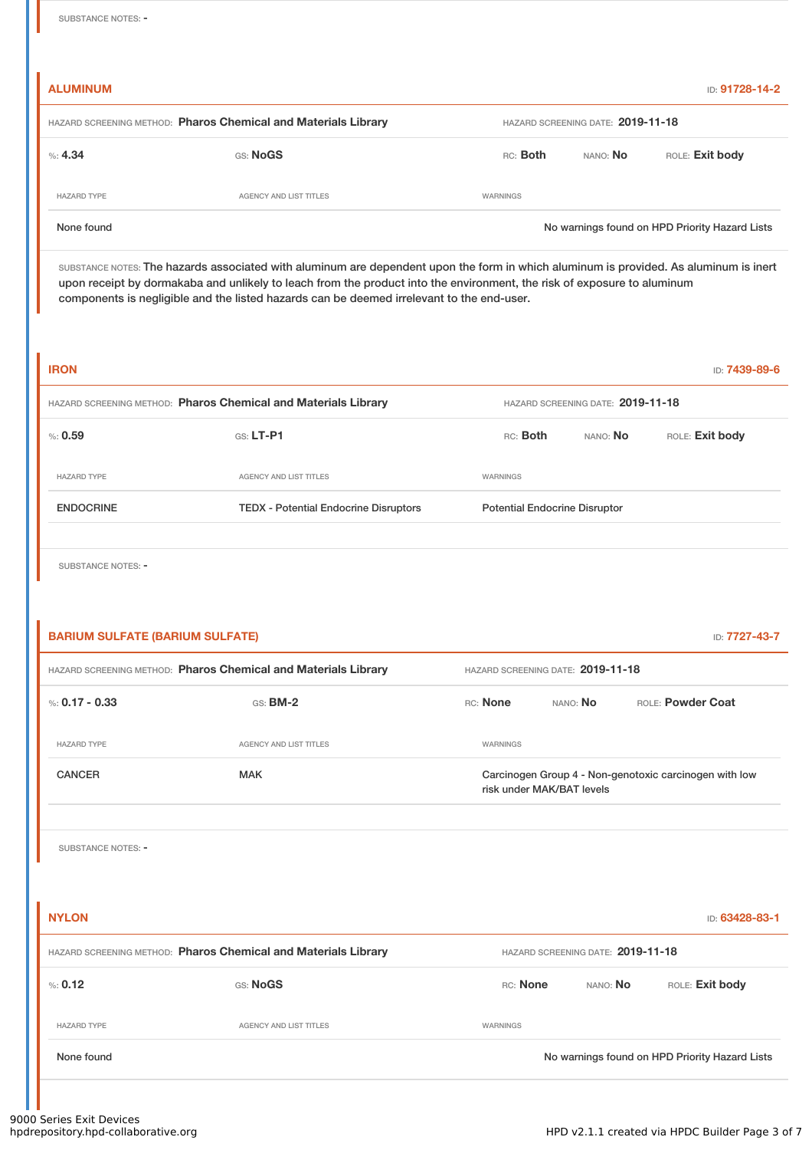**ALUMINUM** ID: **91728-14-2**

| HAZARD SCREENING METHOD: Pharos Chemical and Materials Library |                        |          | HAZARD SCREENING DATE: 2019-11-18 |                 |                                                |  |  |
|----------------------------------------------------------------|------------------------|----------|-----------------------------------|-----------------|------------------------------------------------|--|--|
| $\%: 4.34$                                                     | GS: NoGS               |          | RC: Both                          | NANO: <b>No</b> | ROLE: Exit body                                |  |  |
| <b>HAZARD TYPE</b>                                             | AGENCY AND LIST TITLES | WARNINGS |                                   |                 |                                                |  |  |
| None found                                                     |                        |          |                                   |                 | No warnings found on HPD Priority Hazard Lists |  |  |

SUBSTANCE NOTES: The hazards associated with aluminum are dependent upon the form in which aluminum is provided. As aluminum is inert upon receipt by dormakaba and unlikely to leach from the product into the environment, the risk of exposure to aluminum components is negligible and the listed hazards can be deemed irrelevant to the end-user.

| <b>IRON</b>                                                    |                                              | ID: <b>7439-89-6</b>                    |  |  |
|----------------------------------------------------------------|----------------------------------------------|-----------------------------------------|--|--|
| HAZARD SCREENING METHOD: Pharos Chemical and Materials Library |                                              | HAZARD SCREENING DATE: 2019-11-18       |  |  |
| % 0.59                                                         | $G.S.$ LT-P1                                 | RC: Both<br>ROLE: Exit body<br>NANO: No |  |  |
| <b>HAZARD TYPE</b>                                             | <b>AGENCY AND LIST TITLES</b>                | WARNINGS                                |  |  |
| <b>ENDOCRINE</b>                                               | <b>TEDX - Potential Endocrine Disruptors</b> | <b>Potential Endocrine Disruptor</b>    |  |  |
|                                                                |                                              |                                         |  |  |

SUBSTANCE NOTES: -

| <b>BARIUM SULFATE (BARIUM SULFATE)</b><br>ID: 7727-43-7        |                        |                 |                                                                                     |                          |  |  |  |
|----------------------------------------------------------------|------------------------|-----------------|-------------------------------------------------------------------------------------|--------------------------|--|--|--|
| HAZARD SCREENING METHOD: Pharos Chemical and Materials Library |                        |                 | HAZARD SCREENING DATE: 2019-11-18                                                   |                          |  |  |  |
| %: 0.17 - 0.33                                                 | $GS:$ BM-2             | <b>RC:</b> None | NANO: <b>No</b>                                                                     | <b>ROLE: Powder Coat</b> |  |  |  |
| <b>HAZARD TYPE</b>                                             | AGENCY AND LIST TITLES | WARNINGS        |                                                                                     |                          |  |  |  |
| <b>CANCER</b>                                                  | <b>MAK</b>             |                 | Carcinogen Group 4 - Non-genotoxic carcinogen with low<br>risk under MAK/BAT levels |                          |  |  |  |
|                                                                |                        |                 |                                                                                     |                          |  |  |  |

SUBSTANCE NOTES: -

**NYLON** ID: **63428-83-1** HAZARD SCREENING METHOD: **Pharos Chemical and Materials Library** HAZARD SCREENING DATE: **2019-11-18** %: **0.12** GS: **NoGS** RC: **None** NANO: **No** ROLE: **Exit body** HAZARD TYPE **AGENCY AND LIST TITLES AGENCY AND LIST TITLES** None found **Now all a set of the COVID-ST** Now warnings found on HPD Priority Hazard Lists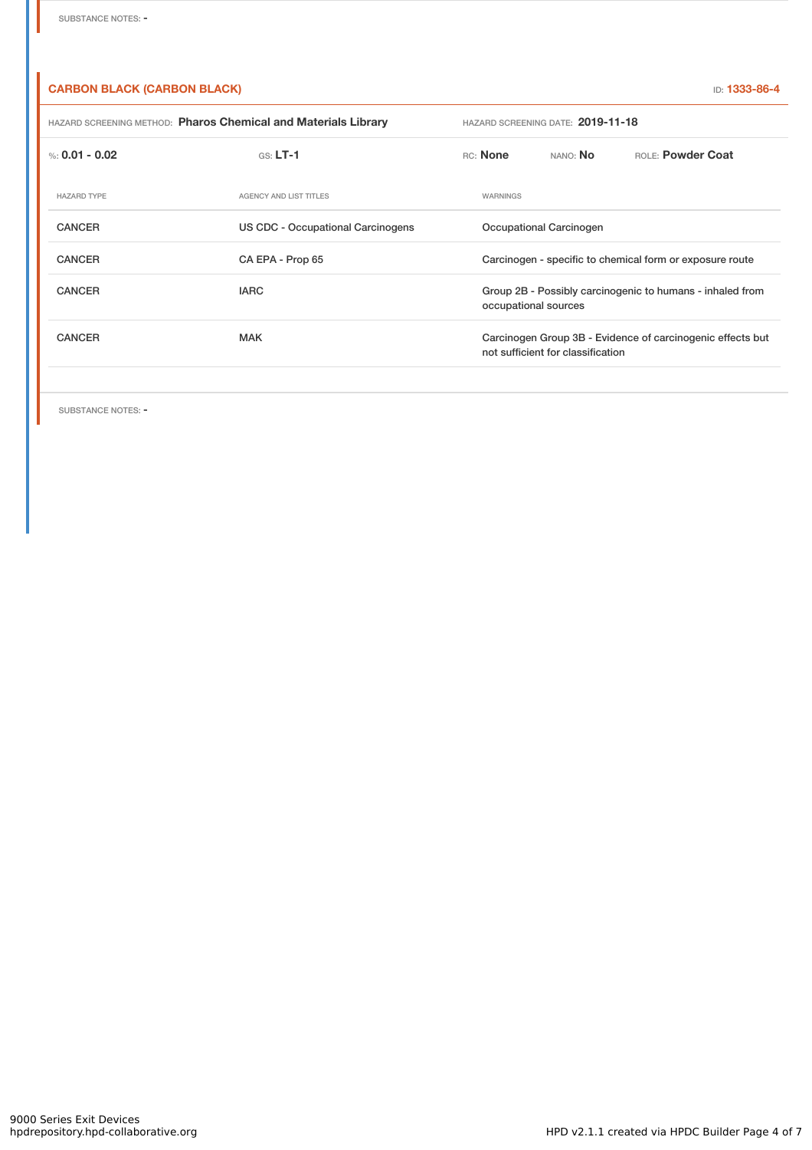## **CARBON BLACK (CARBON BLACK)** ID: **1333-86-4**

| HAZARD SCREENING METHOD: Pharos Chemical and Materials Library |                                   | HAZARD SCREENING DATE: 2019-11-18 |                                                                                                 |          |                   |  |
|----------------------------------------------------------------|-----------------------------------|-----------------------------------|-------------------------------------------------------------------------------------------------|----------|-------------------|--|
| %: $0.01 - 0.02$                                               | $GS: LT-1$                        |                                   | RC: None                                                                                        | NANO: No | ROLE: Powder Coat |  |
| <b>HAZARD TYPE</b>                                             | <b>AGENCY AND LIST TITLES</b>     |                                   | WARNINGS                                                                                        |          |                   |  |
| <b>CANCER</b>                                                  | US CDC - Occupational Carcinogens |                                   | Occupational Carcinogen                                                                         |          |                   |  |
| <b>CANCER</b>                                                  | CA EPA - Prop 65                  |                                   | Carcinogen - specific to chemical form or exposure route                                        |          |                   |  |
| <b>CANCER</b>                                                  | <b>IARC</b>                       |                                   | Group 2B - Possibly carcinogenic to humans - inhaled from<br>occupational sources               |          |                   |  |
| <b>CANCER</b>                                                  | <b>MAK</b>                        |                                   | Carcinogen Group 3B - Evidence of carcinogenic effects but<br>not sufficient for classification |          |                   |  |
|                                                                |                                   |                                   |                                                                                                 |          |                   |  |

SUBSTANCE NOTES: -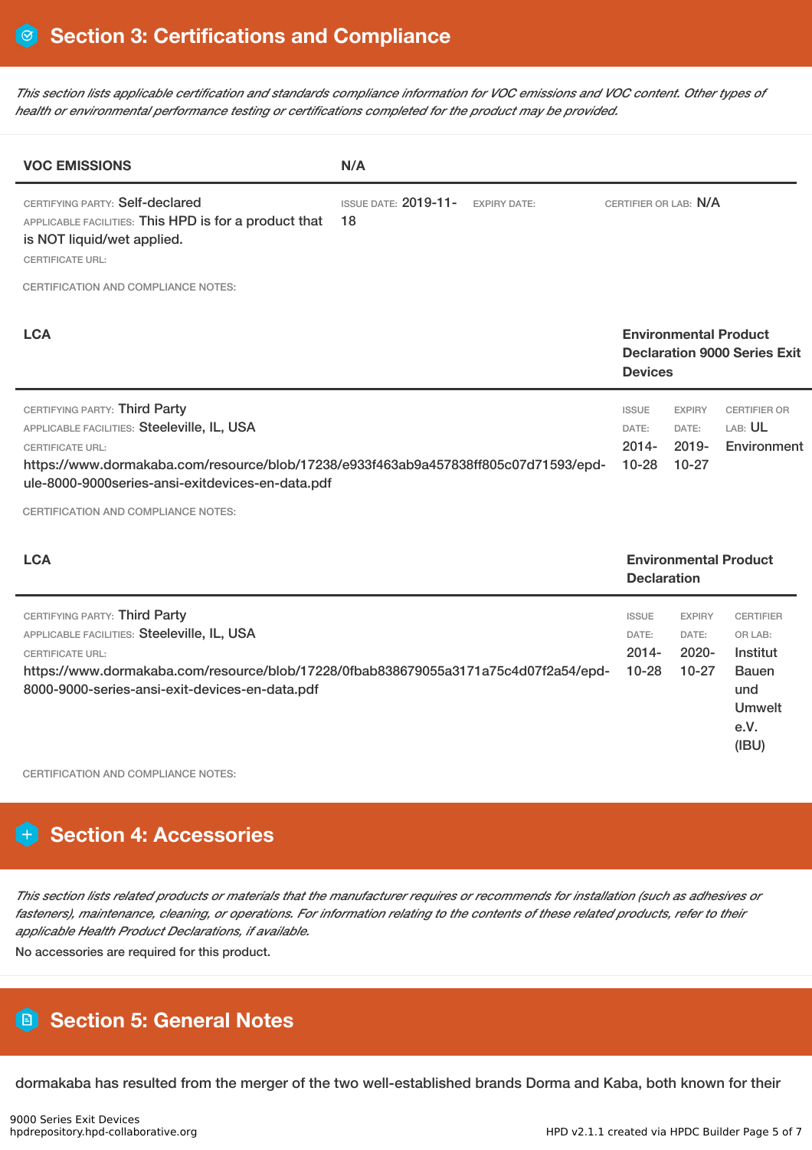This section lists applicable certification and standards compliance information for VOC emissions and VOC content. Other types of *health or environmental performance testing or certifications completed for the product may be provided.*

| <b>VOC EMISSIONS</b>                                                                                                                                                                                                                                                                             | N/A                                                      |                                                |                                                    |                                                                                                  |
|--------------------------------------------------------------------------------------------------------------------------------------------------------------------------------------------------------------------------------------------------------------------------------------------------|----------------------------------------------------------|------------------------------------------------|----------------------------------------------------|--------------------------------------------------------------------------------------------------|
| CERTIFYING PARTY: Self-declared<br>APPLICABLE FACILITIES: This HPD is for a product that<br>is NOT liquid/wet applied.<br><b>CERTIFICATE URL:</b>                                                                                                                                                | <b>ISSUE DATE: 2019-11-</b><br><b>EXPIRY DATE:</b><br>18 | CERTIFIER OR LAB: N/A                          |                                                    |                                                                                                  |
| <b>CERTIFICATION AND COMPLIANCE NOTES:</b>                                                                                                                                                                                                                                                       |                                                          |                                                |                                                    |                                                                                                  |
| <b>LCA</b>                                                                                                                                                                                                                                                                                       |                                                          | <b>Devices</b>                                 | <b>Environmental Product</b>                       | <b>Declaration 9000 Series Exit</b>                                                              |
| CERTIFYING PARTY: Third Party<br>APPLICABLE FACILITIES: Steeleville, IL, USA<br><b>CERTIFICATE URL:</b><br>https://www.dormakaba.com/resource/blob/17238/e933f463ab9a457838ff805c07d71593/epd-<br>ule-8000-9000series-ansi-exitdevices-en-data.pdf<br><b>CERTIFICATION AND COMPLIANCE NOTES:</b> |                                                          | <b>ISSUE</b><br>DATE:<br>$2014 -$<br>$10 - 28$ | <b>EXPIRY</b><br>DATE:<br>$2019 -$<br>$10-27$      | <b>CERTIFIER OR</b><br>LAB: UL<br>Environment                                                    |
| <b>LCA</b>                                                                                                                                                                                                                                                                                       |                                                          |                                                | <b>Environmental Product</b><br><b>Declaration</b> |                                                                                                  |
| CERTIFYING PARTY: Third Party<br>APPLICABLE FACILITIES: Steeleville, IL, USA<br><b>CERTIFICATE URL:</b><br>https://www.dormakaba.com/resource/blob/17228/0fbab838679055a3171a75c4d07f2a54/epd-<br>8000-9000-series-ansi-exit-devices-en-data.pdf                                                 |                                                          | <b>ISSUE</b><br>DATE:<br>$2014 -$<br>$10 - 28$ | <b>EXPIRY</b><br>DATE:<br>2020-<br>$10 - 27$       | <b>CERTIFIER</b><br>OR LAB:<br>Institut<br><b>Bauen</b><br>und<br><b>Umwelt</b><br>e.V.<br>(IBU) |

CERTIFICATION AND COMPLIANCE NOTES:

# **Section 4: Accessories**

This section lists related products or materials that the manufacturer requires or recommends for installation (such as adhesives or fasteners), maintenance, cleaning, or operations. For information relating to the contents of these related products, refer to their *applicable Health Product Declarations, if available.*

No accessories are required for this product.

# **Section 5: General Notes**

dormakaba has resulted from the merger of the two well-established brands Dorma and Kaba, both known for their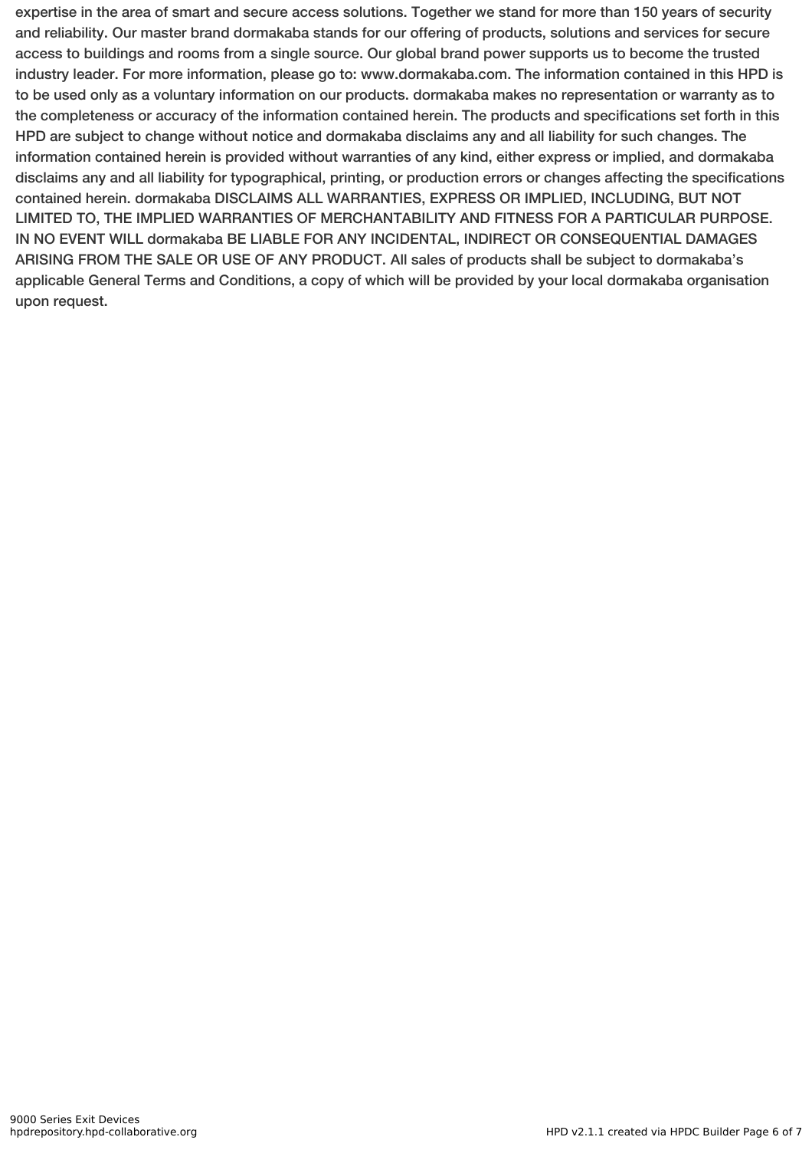expertise in the area of smart and secure access solutions. Together we stand for more than 150 years of security and reliability. Our master brand dormakaba stands for our offering of products, solutions and services for secure access to buildings and rooms from a single source. Our global brand power supports us to become the trusted industry leader. For more information, please go to: www.dormakaba.com. The information contained in this HPD is to be used only as a voluntary information on our products. dormakaba makes no representation or warranty as to the completeness or accuracy of the information contained herein. The products and specifications set forth in this HPD are subject to change without notice and dormakaba disclaims any and all liability for such changes. The information contained herein is provided without warranties of any kind, either express or implied, and dormakaba disclaims any and all liability for typographical, printing, or production errors or changes affecting the specifications contained herein. dormakaba DISCLAIMS ALL WARRANTIES, EXPRESS OR IMPLIED, INCLUDING, BUT NOT LIMITED TO, THE IMPLIED WARRANTIES OF MERCHANTABILITY AND FITNESS FOR A PARTICULAR PURPOSE. IN NO EVENT WILL dormakaba BE LIABLE FOR ANY INCIDENTAL, INDIRECT OR CONSEQUENTIAL DAMAGES ARISING FROM THE SALE OR USE OF ANY PRODUCT. All sales of products shall be subject to dormakaba's applicable General Terms and Conditions, a copy of which will be provided by your local dormakaba organisation upon request.